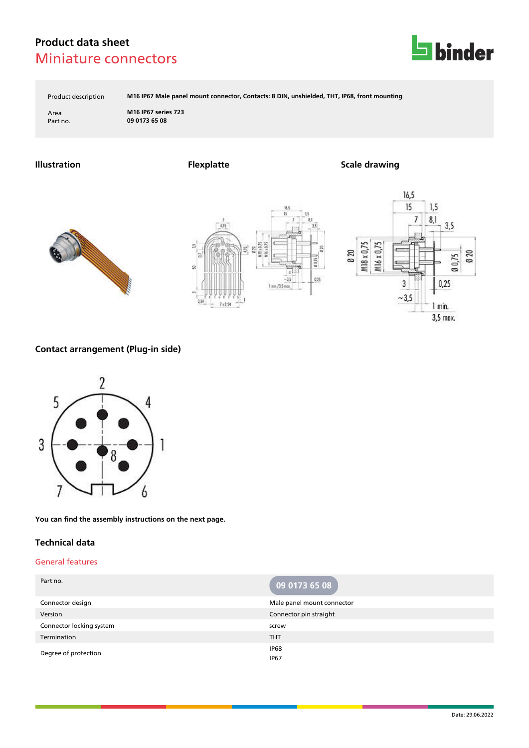

Product description **M16 IP67 Male panel mount connector, Contacts: 8 DIN, unshielded, THT, IP68, front mounting**

Area **M16 IP67 series 723** Part no. **09 0173 65 08**

**Illustration Flexplatte Scale drawing**







### **Contact arrangement (Plug-in side)**



**You can find the assembly instructions on the next page.**

### **Technical data**

#### General features

| Part no.                 | 09 0173 65 08              |
|--------------------------|----------------------------|
| Connector design         | Male panel mount connector |
| Version                  | Connector pin straight     |
| Connector locking system | screw                      |
| Termination              | <b>THT</b>                 |
| Degree of protection     | IP68<br><b>IP67</b>        |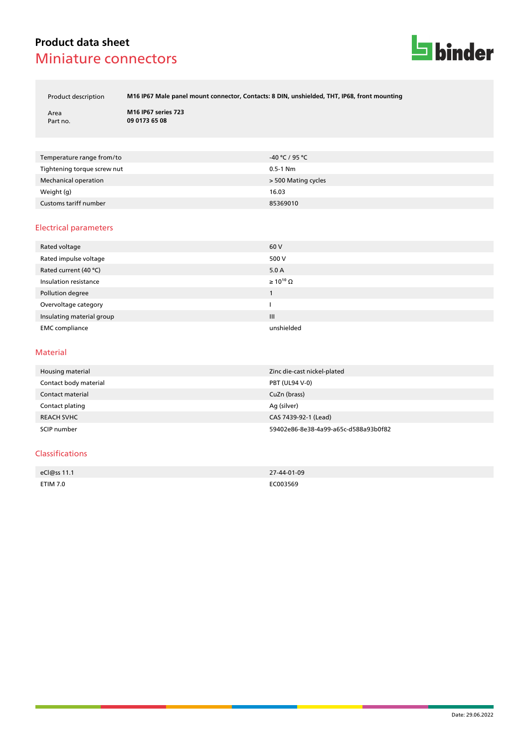

Product description **M16 IP67 Male panel mount connector, Contacts: 8 DIN, unshielded, THT, IP68, front mounting**

Area **M16 IP67 series 723** Part no. **09 0173 65 08**

| Temperature range from/to   | -40 ℃ / 95 ℃        |
|-----------------------------|---------------------|
| Tightening torque screw nut | $0.5-1$ Nm          |
| Mechanical operation        | > 500 Mating cycles |
| Weight (g)                  | 16.03               |
| Customs tariff number       | 85369010            |

### Electrical parameters

| Rated voltage             | 60 V                  |
|---------------------------|-----------------------|
| Rated impulse voltage     | 500 V                 |
| Rated current (40 °C)     | 5.0 A                 |
| Insulation resistance     | $\geq 10^{10} \Omega$ |
| Pollution degree          |                       |
| Overvoltage category      |                       |
| Insulating material group | $\mathbf{III}$        |
| <b>EMC</b> compliance     | unshielded            |

#### Material

| Housing material      | Zinc die-cast nickel-plated          |
|-----------------------|--------------------------------------|
| Contact body material | PBT (UL94 V-0)                       |
| Contact material      | CuZn (brass)                         |
| Contact plating       | Ag (silver)                          |
| <b>REACH SVHC</b>     | CAS 7439-92-1 (Lead)                 |
| SCIP number           | 59402e86-8e38-4a99-a65c-d588a93b0f82 |

#### Classifications

| eCl@ss 11.1 | 27-44-01-09 |
|-------------|-------------|
| ETIM 7.0    | EC003569    |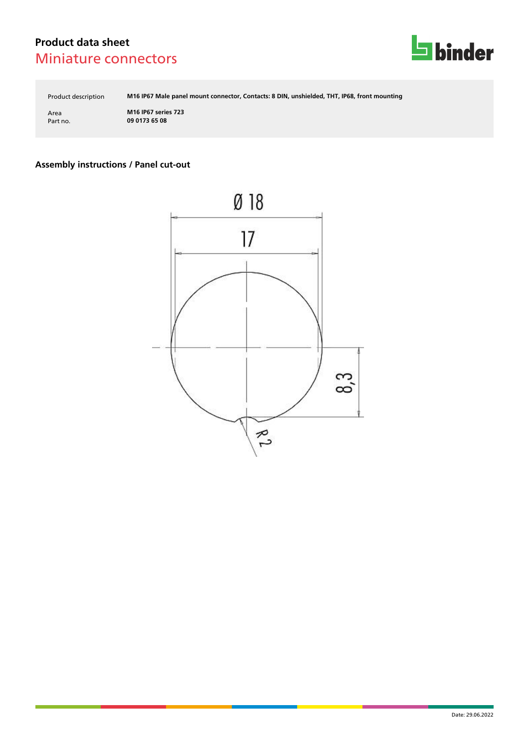

Product description **M16 IP67 Male panel mount connector, Contacts: 8 DIN, unshielded, THT, IP68, front mounting**

Area **M16 IP67 series 723** Part no. **09 0173 65 08**

### **Assembly instructions / Panel cut-out**